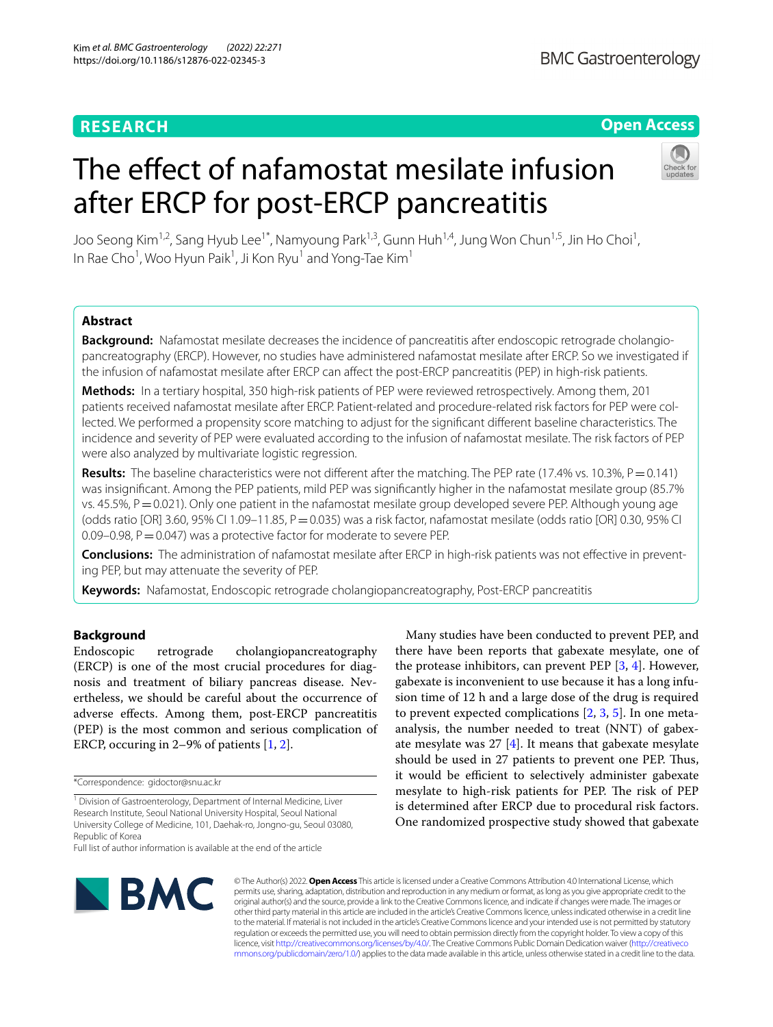# **RESEARCH**

# **Open Access**

# The effect of nafamostat mesilate infusion after ERCP for post-ERCP pancreatitis



Joo Seong Kim<sup>1,2</sup>, Sang Hyub Lee<sup>1\*</sup>, Namyoung Park<sup>1,3</sup>, Gunn Huh<sup>1,4</sup>, Jung Won Chun<sup>1,5</sup>, Jin Ho Choi<sup>1</sup>, In Rae Cho<sup>1</sup>, Woo Hyun Paik<sup>1</sup>, Ji Kon Ryu<sup>1</sup> and Yong-Tae Kim<sup>1</sup>

# **Abstract**

**Background:** Nafamostat mesilate decreases the incidence of pancreatitis after endoscopic retrograde cholangiopancreatography (ERCP). However, no studies have administered nafamostat mesilate after ERCP. So we investigated if the infusion of nafamostat mesilate after ERCP can afect the post-ERCP pancreatitis (PEP) in high-risk patients.

**Methods:** In a tertiary hospital, 350 high-risk patients of PEP were reviewed retrospectively. Among them, 201 patients received nafamostat mesilate after ERCP. Patient-related and procedure-related risk factors for PEP were collected. We performed a propensity score matching to adjust for the signifcant diferent baseline characteristics. The incidence and severity of PEP were evaluated according to the infusion of nafamostat mesilate. The risk factors of PEP were also analyzed by multivariate logistic regression.

Results: The baseline characteristics were not different after the matching. The PEP rate (17.4% vs. 10.3%, P = 0.141) was insignifcant. Among the PEP patients, mild PEP was signifcantly higher in the nafamostat mesilate group (85.7% vs. 45.5%,  $P = 0.021$ ). Only one patient in the nafamostat mesilate group developed severe PEP. Although young age (odds ratio [OR] 3.60, 95% CI 1.09-11.85, P = 0.035) was a risk factor, nafamostat mesilate (odds ratio [OR] 0.30, 95% CI  $0.09-0.98$ ,  $P=0.047$ ) was a protective factor for moderate to severe PEP.

**Conclusions:** The administration of nafamostat mesilate after ERCP in high-risk patients was not effective in preventing PEP, but may attenuate the severity of PEP.

**Keywords:** Nafamostat, Endoscopic retrograde cholangiopancreatography, Post-ERCP pancreatitis

# **Background**

Endoscopic retrograde cholangiopancreatography (ERCP) is one of the most crucial procedures for diagnosis and treatment of biliary pancreas disease. Nevertheless, we should be careful about the occurrence of adverse efects. Among them, post-ERCP pancreatitis (PEP) is the most common and serious complication of ERCP, occuring in 2–9% of patients [\[1](#page-5-0), [2\]](#page-5-1).

<sup>1</sup> Division of Gastroenterology, Department of Internal Medicine, Liver Research Institute, Seoul National University Hospital, Seoul National University College of Medicine, 101, Daehak‑ro, Jongno‑gu, Seoul 03080, Republic of Korea

there have been reports that gabexate mesylate, one of the protease inhibitors, can prevent PEP  $[3, 4]$  $[3, 4]$  $[3, 4]$ . However, gabexate is inconvenient to use because it has a long infusion time of 12 h and a large dose of the drug is required to prevent expected complications  $[2, 3, 5]$  $[2, 3, 5]$  $[2, 3, 5]$  $[2, 3, 5]$  $[2, 3, 5]$  $[2, 3, 5]$ . In one metaanalysis, the number needed to treat (NNT) of gabexate mesylate was  $27$  [[4\]](#page-6-1). It means that gabexate mesylate should be used in 27 patients to prevent one PEP. Thus, it would be efficient to selectively administer gabexate mesylate to high-risk patients for PEP. The risk of PEP is determined after ERCP due to procedural risk factors. One randomized prospective study showed that gabexate

Many studies have been conducted to prevent PEP, and



© The Author(s) 2022. **Open Access** This article is licensed under a Creative Commons Attribution 4.0 International License, which permits use, sharing, adaptation, distribution and reproduction in any medium or format, as long as you give appropriate credit to the original author(s) and the source, provide a link to the Creative Commons licence, and indicate if changes were made. The images or other third party material in this article are included in the article's Creative Commons licence, unless indicated otherwise in a credit line to the material. If material is not included in the article's Creative Commons licence and your intended use is not permitted by statutory regulation or exceeds the permitted use, you will need to obtain permission directly from the copyright holder. To view a copy of this licence, visit [http://creativecommons.org/licenses/by/4.0/.](http://creativecommons.org/licenses/by/4.0/) The Creative Commons Public Domain Dedication waiver ([http://creativeco](http://creativecommons.org/publicdomain/zero/1.0/) [mmons.org/publicdomain/zero/1.0/](http://creativecommons.org/publicdomain/zero/1.0/)) applies to the data made available in this article, unless otherwise stated in a credit line to the data.

<sup>\*</sup>Correspondence: gidoctor@snu.ac.kr

Full list of author information is available at the end of the article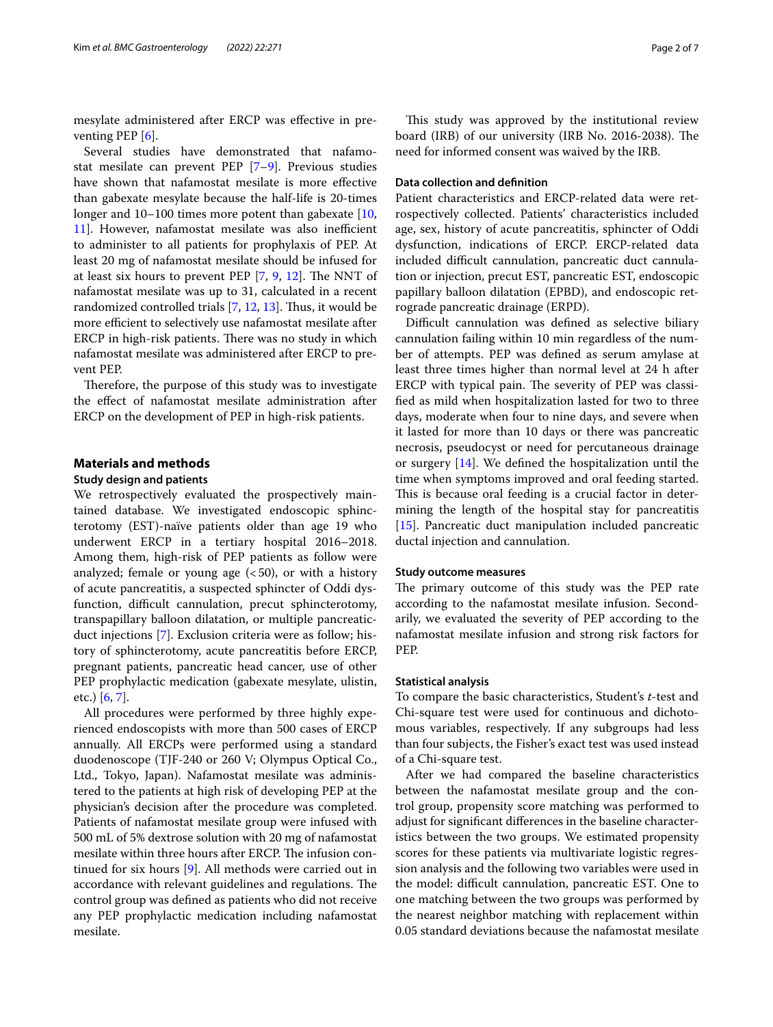mesylate administered after ERCP was efective in preventing PEP  $[6]$  $[6]$ .

Several studies have demonstrated that nafamostat mesilate can prevent PEP [\[7](#page-6-4)[–9](#page-6-5)]. Previous studies have shown that nafamostat mesilate is more efective than gabexate mesylate because the half-life is 20-times longer and 10–100 times more potent than gabexate [\[10](#page-6-6), [11\]](#page-6-7). However, nafamostat mesilate was also inefficient to administer to all patients for prophylaxis of PEP. At least 20 mg of nafamostat mesilate should be infused for at least six hours to prevent PEP  $[7, 9, 12]$  $[7, 9, 12]$  $[7, 9, 12]$  $[7, 9, 12]$  $[7, 9, 12]$  $[7, 9, 12]$  $[7, 9, 12]$ . The NNT of nafamostat mesilate was up to 31, calculated in a recent randomized controlled trials  $[7, 12, 13]$  $[7, 12, 13]$  $[7, 12, 13]$  $[7, 12, 13]$  $[7, 12, 13]$  $[7, 12, 13]$ . Thus, it would be more efficient to selectively use nafamostat mesilate after ERCP in high-risk patients. There was no study in which nafamostat mesilate was administered after ERCP to prevent PEP.

Therefore, the purpose of this study was to investigate the efect of nafamostat mesilate administration after ERCP on the development of PEP in high-risk patients.

# **Materials and methods**

# **Study design and patients**

We retrospectively evaluated the prospectively maintained database. We investigated endoscopic sphincterotomy (EST)-naïve patients older than age 19 who underwent ERCP in a tertiary hospital 2016–2018. Among them, high-risk of PEP patients as follow were analyzed; female or young age  $( $50$ ), or with a history$ of acute pancreatitis, a suspected sphincter of Oddi dysfunction, difficult cannulation, precut sphincterotomy, transpapillary balloon dilatation, or multiple pancreaticduct injections [[7](#page-6-4)]. Exclusion criteria were as follow; history of sphincterotomy, acute pancreatitis before ERCP, pregnant patients, pancreatic head cancer, use of other PEP prophylactic medication (gabexate mesylate, ulistin, etc.) [[6,](#page-6-3) [7](#page-6-4)].

All procedures were performed by three highly experienced endoscopists with more than 500 cases of ERCP annually. All ERCPs were performed using a standard duodenoscope (TJF-240 or 260 V; Olympus Optical Co., Ltd., Tokyo, Japan). Nafamostat mesilate was administered to the patients at high risk of developing PEP at the physician's decision after the procedure was completed. Patients of nafamostat mesilate group were infused with 500 mL of 5% dextrose solution with 20 mg of nafamostat mesilate within three hours after ERCP. The infusion continued for six hours [[9](#page-6-5)]. All methods were carried out in accordance with relevant guidelines and regulations. The control group was defned as patients who did not receive any PEP prophylactic medication including nafamostat mesilate.

This study was approved by the institutional review board (IRB) of our university (IRB No. 2016-2038). The need for informed consent was waived by the IRB.

# **Data collection and defnition**

Patient characteristics and ERCP-related data were retrospectively collected. Patients' characteristics included age, sex, history of acute pancreatitis, sphincter of Oddi dysfunction, indications of ERCP. ERCP-related data included difficult cannulation, pancreatic duct cannulation or injection, precut EST, pancreatic EST, endoscopic papillary balloon dilatation (EPBD), and endoscopic retrograde pancreatic drainage (ERPD).

Difficult cannulation was defined as selective biliary cannulation failing within 10 min regardless of the number of attempts. PEP was defned as serum amylase at least three times higher than normal level at 24 h after ERCP with typical pain. The severity of PEP was classifed as mild when hospitalization lasted for two to three days, moderate when four to nine days, and severe when it lasted for more than 10 days or there was pancreatic necrosis, pseudocyst or need for percutaneous drainage or surgery [[14\]](#page-6-10). We defned the hospitalization until the time when symptoms improved and oral feeding started. This is because oral feeding is a crucial factor in determining the length of the hospital stay for pancreatitis [[15\]](#page-6-11). Pancreatic duct manipulation included pancreatic ductal injection and cannulation.

## **Study outcome measures**

The primary outcome of this study was the PEP rate according to the nafamostat mesilate infusion. Secondarily, we evaluated the severity of PEP according to the nafamostat mesilate infusion and strong risk factors for PEP.

## **Statistical analysis**

To compare the basic characteristics, Student's *t*-test and Chi-square test were used for continuous and dichotomous variables, respectively. If any subgroups had less than four subjects, the Fisher's exact test was used instead of a Chi-square test.

After we had compared the baseline characteristics between the nafamostat mesilate group and the control group, propensity score matching was performed to adjust for signifcant diferences in the baseline characteristics between the two groups. We estimated propensity scores for these patients via multivariate logistic regression analysis and the following two variables were used in the model: difficult cannulation, pancreatic EST. One to one matching between the two groups was performed by the nearest neighbor matching with replacement within 0.05 standard deviations because the nafamostat mesilate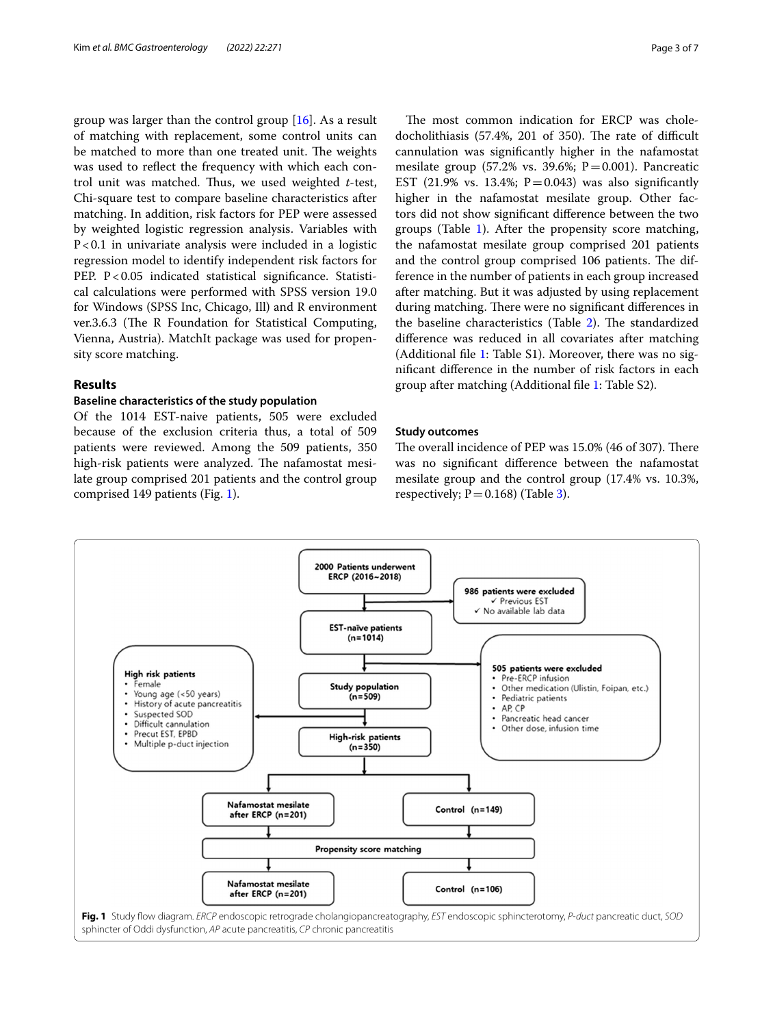group was larger than the control group [\[16](#page-6-12)]. As a result of matching with replacement, some control units can be matched to more than one treated unit. The weights was used to refect the frequency with which each control unit was matched. Thus, we used weighted *t*-test, Chi-square test to compare baseline characteristics after matching. In addition, risk factors for PEP were assessed by weighted logistic regression analysis. Variables with P<0.1 in univariate analysis were included in a logistic regression model to identify independent risk factors for PEP. P<0.05 indicated statistical significance. Statistical calculations were performed with SPSS version 19.0 for Windows (SPSS Inc, Chicago, Ill) and R environment ver.3.6.3 (The R Foundation for Statistical Computing, Vienna, Austria). MatchIt package was used for propensity score matching.

# **Results**

# **Baseline characteristics of the study population**

Of the 1014 EST-naive patients, 505 were excluded because of the exclusion criteria thus, a total of 509 patients were reviewed. Among the 509 patients, 350 high-risk patients were analyzed. The nafamostat mesilate group comprised 201 patients and the control group comprised 149 patients (Fig. [1](#page-2-0)).

The most common indication for ERCP was choledocholithiasis (57.4%, 201 of 350). The rate of difficult cannulation was signifcantly higher in the nafamostat mesilate group  $(57.2\% \text{ vs. } 39.6\%; \text{ P} = 0.001)$ . Pancreatic EST (21.9% vs. 13.4%;  $P = 0.043$ ) was also significantly higher in the nafamostat mesilate group. Other factors did not show signifcant diference between the two groups (Table [1\)](#page-3-0). After the propensity score matching, the nafamostat mesilate group comprised 201 patients and the control group comprised 106 patients. The difference in the number of patients in each group increased after matching. But it was adjusted by using replacement during matching. There were no significant differences in the baseline characteristics (Table [2\)](#page-3-1). The standardized diference was reduced in all covariates after matching (Additional fle [1:](#page-5-2) Table S1). Moreover, there was no signifcant diference in the number of risk factors in each group after matching (Additional fle [1:](#page-5-2) Table S2).

# **Study outcomes**

The overall incidence of PEP was 15.0% (46 of 307). There was no signifcant diference between the nafamostat mesilate group and the control group (17.4% vs. 10.3%, respectively;  $P = 0.168$ ) (Table [3\)](#page-4-0).

<span id="page-2-0"></span>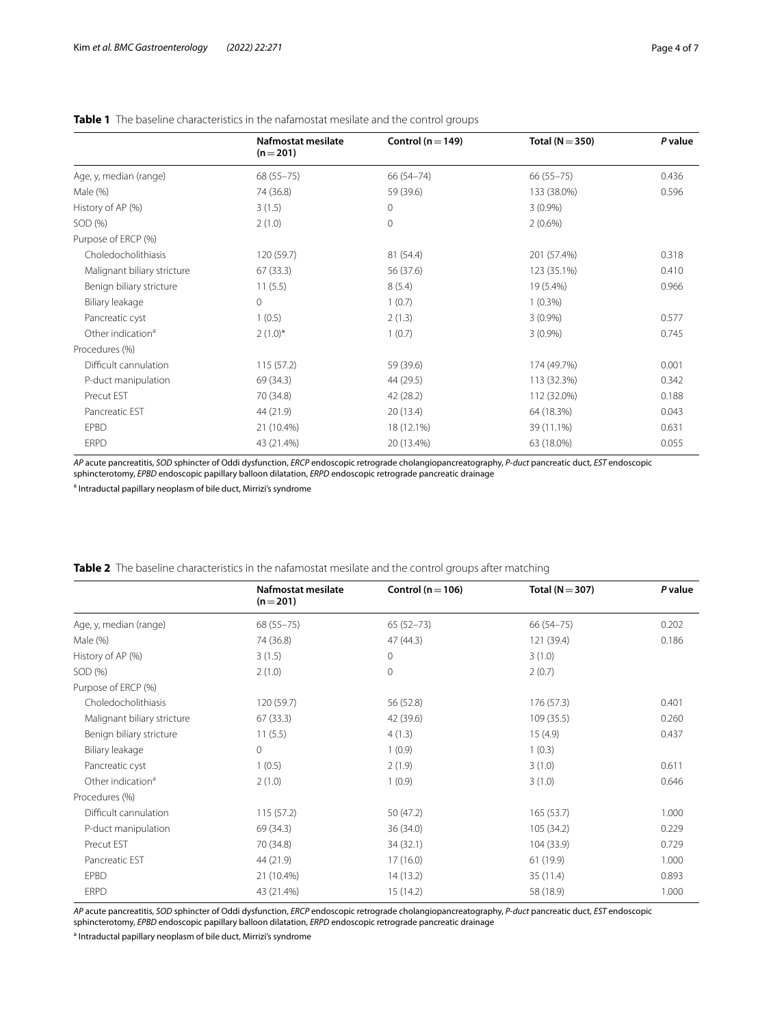|                               | Nafmostat mesilate<br>$(n=201)$ | Control ( $n = 149$ ) | Total ( $N = 350$ ) | P value |
|-------------------------------|---------------------------------|-----------------------|---------------------|---------|
| Age, y, median (range)        | $68(55 - 75)$                   | 66 (54 - 74)          | $66(55 - 75)$       | 0.436   |
| Male $(%)$                    | 74 (36.8)                       | 59 (39.6)             | 133 (38.0%)         | 0.596   |
| History of AP (%)             | 3(1.5)                          | 0                     | $3(0.9\%)$          |         |
| SOD (%)                       | 2(1.0)                          | $\circ$               | $2(0.6\%)$          |         |
| Purpose of ERCP (%)           |                                 |                       |                     |         |
| Choledocholithiasis           | 120 (59.7)                      | 81 (54.4)             | 201 (57.4%)         | 0.318   |
| Malignant biliary stricture   | 67(33.3)                        | 56 (37.6)             | 123 (35.1%)         | 0.410   |
| Benign biliary stricture      | 11(5.5)                         | 8(5.4)                | 19 (5.4%)           | 0.966   |
| Biliary leakage               | $\circ$                         | 1(0.7)                | $1(0.3\%)$          |         |
| Pancreatic cyst               | 1(0.5)                          | 2(1.3)                | $3(0.9\%)$          | 0.577   |
| Other indication <sup>a</sup> | $2(1.0)^{*}$                    | 1(0.7)                | $3(0.9\%)$          | 0.745   |
| Procedures (%)                |                                 |                       |                     |         |
| Difficult cannulation         | 115(57.2)                       | 59 (39.6)             | 174 (49.7%)         | 0.001   |
| P-duct manipulation           | 69 (34.3)                       | 44 (29.5)             | 113 (32.3%)         | 0.342   |
| Precut EST                    | 70 (34.8)                       | 42 (28.2)             | 112 (32.0%)         | 0.188   |
| Pancreatic EST                | 44 (21.9)                       | 20(13.4)              | 64 (18.3%)          | 0.043   |
| <b>EPBD</b>                   | 21 (10.4%)                      | 18 (12.1%)            | 39 (11.1%)          | 0.631   |
| <b>ERPD</b>                   | 43 (21.4%)                      | 20 (13.4%)            | 63 (18.0%)          | 0.055   |

# <span id="page-3-0"></span>**Table 1** The baseline characteristics in the nafamostat mesilate and the control groups

*AP* acute pancreatitis, *SOD* sphincter of Oddi dysfunction, *ERCP* endoscopic retrograde cholangiopancreatography, *P-duct* pancreatic duct, *EST* endoscopic sphincterotomy, *EPBD* endoscopic papillary balloon dilatation, *ERPD* endoscopic retrograde pancreatic drainage

<sup>a</sup> Intraductal papillary neoplasm of bile duct, Mirrizi's syndrome

<span id="page-3-1"></span>

|  | <b>Table 2</b> The baseline characteristics in the nafamostat mesilate and the control groups after matching |  |  |  |  |
|--|--------------------------------------------------------------------------------------------------------------|--|--|--|--|
|  |                                                                                                              |  |  |  |  |

|                               | Nafmostat mesilate<br>$(n=201)$ | Control ( $n = 106$ ) | Total ( $N = 307$ ) | P value |
|-------------------------------|---------------------------------|-----------------------|---------------------|---------|
| Age, y, median (range)        | $68(55 - 75)$                   | $65(52-73)$           | $66(54 - 75)$       | 0.202   |
| Male (%)                      | 74 (36.8)                       | 47(44.3)              | 121 (39.4)          | 0.186   |
| History of AP (%)             | 3(1.5)                          | $\mathbf 0$           | 3(1.0)              |         |
| SOD (%)                       | 2(1.0)                          | $\mathbf{0}$          | 2(0.7)              |         |
| Purpose of ERCP (%)           |                                 |                       |                     |         |
| Choledocholithiasis           | 120 (59.7)                      | 56 (52.8)             | 176(57.3)           | 0.401   |
| Malignant biliary stricture   | 67(33.3)                        | 42 (39.6)             | 109(35.5)           | 0.260   |
| Benign biliary stricture      | 11(5.5)                         | 4(1.3)                | 15(4.9)             | 0.437   |
| Biliary leakage               | $\circ$                         | 1(0.9)                | 1(0.3)              |         |
| Pancreatic cyst               | 1(0.5)                          | 2(1.9)                | 3(1.0)              | 0.611   |
| Other indication <sup>a</sup> | 2(1.0)                          | 1(0.9)                | 3(1.0)              | 0.646   |
| Procedures (%)                |                                 |                       |                     |         |
| Difficult cannulation         | 115(57.2)                       | 50 (47.2)             | 165(53.7)           | 1.000   |
| P-duct manipulation           | 69 (34.3)                       | 36 (34.0)             | 105(34.2)           | 0.229   |
| Precut EST                    | 70 (34.8)                       | 34 (32.1)             | 104 (33.9)          | 0.729   |
| Pancreatic EST                | 44 (21.9)                       | 17(16.0)              | 61 (19.9)           | 1.000   |
| <b>FPBD</b>                   | 21 (10.4%)                      | 14(13.2)              | 35 (11.4)           | 0.893   |
| <b>ERPD</b>                   | 43 (21.4%)                      | 15(14.2)              | 58 (18.9)           | 1.000   |

*AP* acute pancreatitis, *SOD* sphincter of Oddi dysfunction, *ERCP* endoscopic retrograde cholangiopancreatography, *P-duct* pancreatic duct, *EST* endoscopic sphincterotomy, *EPBD* endoscopic papillary balloon dilatation, *ERPD* endoscopic retrograde pancreatic drainage

<sup>a</sup> Intraductal papillary neoplasm of bile duct, Mirrizi's syndrome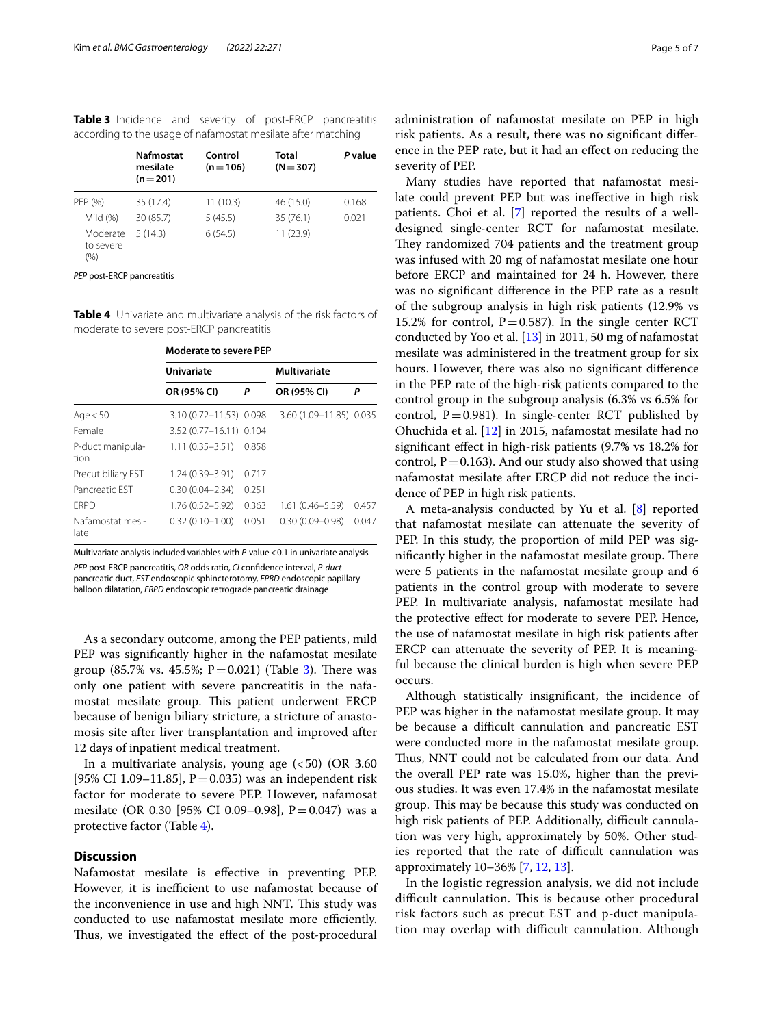<span id="page-4-0"></span>

| Table 3 Incidence and severity of post-ERCP pancreatitis     |  |  |  |
|--------------------------------------------------------------|--|--|--|
| according to the usage of nafamostat mesilate after matching |  |  |  |

|                                  | <b>Nafmostat</b><br>mesilate<br>$(n=201)$ | Control<br>$(n=106)$ | Total<br>$(N = 307)$ | P value |
|----------------------------------|-------------------------------------------|----------------------|----------------------|---------|
| PEP (%)                          | 35 (17.4)                                 | 11(10.3)             | 46 (15.0)            | 0.168   |
| Mild $(%)$                       | 30 (85.7)                                 | 5(45.5)              | 35 (76.1)            | 0.021   |
| Moderate<br>to severe<br>$(\% )$ | 5(14.3)                                   | 6(54.5)              | 11 (23.9)            |         |

*PEP* post-ERCP pancreatitis

<span id="page-4-1"></span>**Table 4** Univariate and multivariate analysis of the risk factors of moderate to severe post-ERCP pancreatitis

|                          | <b>Moderate to severe PEP</b> |       |                         |       |  |  |  |
|--------------------------|-------------------------------|-------|-------------------------|-------|--|--|--|
|                          | <b>Univariate</b>             |       | <b>Multivariate</b>     |       |  |  |  |
|                          | OR (95% CI)                   | Ρ     | OR (95% CI)             | Ρ     |  |  |  |
| Age $< 50$               | 3.10 (0.72-11.53) 0.098       |       | 3.60 (1.09-11.85) 0.035 |       |  |  |  |
| Female                   | 3.52 (0.77-16.11) 0.104       |       |                         |       |  |  |  |
| P-duct manipula-<br>tion | $1.11(0.35 - 3.51)$           | 0.858 |                         |       |  |  |  |
| Precut biliary EST       | 1.24 (0.39-3.91)              | 0.717 |                         |       |  |  |  |
| Pancreatic EST           | $0.30(0.04 - 2.34)$           | 0.251 |                         |       |  |  |  |
| <b>FRPD</b>              | $1.76(0.52 - 5.92)$           | 0.363 | $1.61(0.46 - 5.59)$     | 0.457 |  |  |  |
| Nafamostat mesi-<br>late | $0.32(0.10 - 1.00)$           | 0.051 | $0.30(0.09 - 0.98)$     | 0.047 |  |  |  |

Multivariate analysis included variables with *P*-value<0.1 in univariate analysis *PEP* post-ERCP pancreatitis, *OR* odds ratio, *CI* confdence interval, *P-duct* pancreatic duct, *EST* endoscopic sphincterotomy, *EPBD* endoscopic papillary balloon dilatation, *ERPD* endoscopic retrograde pancreatic drainage

As a secondary outcome, among the PEP patients, mild PEP was signifcantly higher in the nafamostat mesilate group (85.7% vs. 45.5%;  $P = 0.021$ ) (Table [3\)](#page-4-0). There was only one patient with severe pancreatitis in the nafamostat mesilate group. This patient underwent ERCP because of benign biliary stricture, a stricture of anastomosis site after liver transplantation and improved after 12 days of inpatient medical treatment.

In a multivariate analysis, young age  $(<50)$  (OR 3.60 [95% CI 1.09–11.85],  $P = 0.035$ ) was an independent risk factor for moderate to severe PEP. However, nafamosat mesilate (OR 0.30 [95% CI 0.09–0.98],  $P = 0.047$ ) was a protective factor (Table [4](#page-4-1)).

# **Discussion**

Nafamostat mesilate is efective in preventing PEP. However, it is inefficient to use nafamostat because of the inconvenience in use and high NNT. This study was conducted to use nafamostat mesilate more efficiently. Thus, we investigated the effect of the post-procedural administration of nafamostat mesilate on PEP in high risk patients. As a result, there was no signifcant diference in the PEP rate, but it had an efect on reducing the severity of PEP.

Many studies have reported that nafamostat mesilate could prevent PEP but was inefective in high risk patients. Choi et al. [[7\]](#page-6-4) reported the results of a welldesigned single-center RCT for nafamostat mesilate. They randomized 704 patients and the treatment group was infused with 20 mg of nafamostat mesilate one hour before ERCP and maintained for 24 h. However, there was no signifcant diference in the PEP rate as a result of the subgroup analysis in high risk patients (12.9% vs 15.2% for control,  $P=0.587$ ). In the single center RCT conducted by Yoo et al. [\[13\]](#page-6-9) in 2011, 50 mg of nafamostat mesilate was administered in the treatment group for six hours. However, there was also no signifcant diference in the PEP rate of the high-risk patients compared to the control group in the subgroup analysis (6.3% vs 6.5% for control,  $P = 0.981$ ). In single-center RCT published by Ohuchida et al. [[12\]](#page-6-8) in 2015, nafamostat mesilate had no signifcant efect in high-risk patients (9.7% vs 18.2% for control,  $P = 0.163$ ). And our study also showed that using nafamostat mesilate after ERCP did not reduce the incidence of PEP in high risk patients.

A meta-analysis conducted by Yu et al. [\[8](#page-6-13)] reported that nafamostat mesilate can attenuate the severity of PEP. In this study, the proportion of mild PEP was significantly higher in the nafamostat mesilate group. There were 5 patients in the nafamostat mesilate group and 6 patients in the control group with moderate to severe PEP. In multivariate analysis, nafamostat mesilate had the protective efect for moderate to severe PEP. Hence, the use of nafamostat mesilate in high risk patients after ERCP can attenuate the severity of PEP. It is meaningful because the clinical burden is high when severe PEP occurs.

Although statistically insignifcant, the incidence of PEP was higher in the nafamostat mesilate group. It may be because a difficult cannulation and pancreatic EST were conducted more in the nafamostat mesilate group. Thus, NNT could not be calculated from our data. And the overall PEP rate was 15.0%, higher than the previous studies. It was even 17.4% in the nafamostat mesilate group. This may be because this study was conducted on high risk patients of PEP. Additionally, difficult cannulation was very high, approximately by 50%. Other studies reported that the rate of difficult cannulation was approximately 10–36% [\[7](#page-6-4), [12,](#page-6-8) [13\]](#page-6-9).

In the logistic regression analysis, we did not include difficult cannulation. This is because other procedural risk factors such as precut EST and p-duct manipulation may overlap with difficult cannulation. Although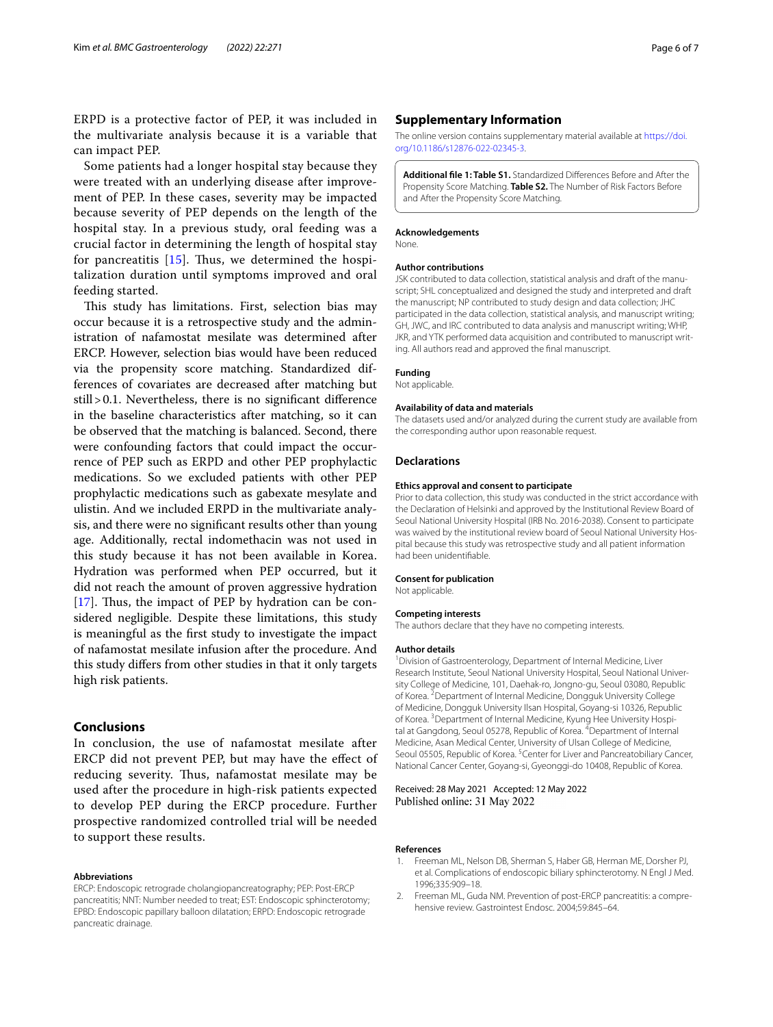ERPD is a protective factor of PEP, it was included in the multivariate analysis because it is a variable that can impact PEP.

Some patients had a longer hospital stay because they were treated with an underlying disease after improvement of PEP. In these cases, severity may be impacted because severity of PEP depends on the length of the hospital stay. In a previous study, oral feeding was a crucial factor in determining the length of hospital stay for pancreatitis  $[15]$  $[15]$ . Thus, we determined the hospitalization duration until symptoms improved and oral feeding started.

This study has limitations. First, selection bias may occur because it is a retrospective study and the administration of nafamostat mesilate was determined after ERCP. However, selection bias would have been reduced via the propensity score matching. Standardized differences of covariates are decreased after matching but still>0.1. Nevertheless, there is no signifcant diference in the baseline characteristics after matching, so it can be observed that the matching is balanced. Second, there were confounding factors that could impact the occurrence of PEP such as ERPD and other PEP prophylactic medications. So we excluded patients with other PEP prophylactic medications such as gabexate mesylate and ulistin. And we included ERPD in the multivariate analysis, and there were no signifcant results other than young age. Additionally, rectal indomethacin was not used in this study because it has not been available in Korea. Hydration was performed when PEP occurred, but it did not reach the amount of proven aggressive hydration [[17\]](#page-6-14). Thus, the impact of PEP by hydration can be considered negligible. Despite these limitations, this study is meaningful as the frst study to investigate the impact of nafamostat mesilate infusion after the procedure. And this study difers from other studies in that it only targets high risk patients.

# **Conclusions**

In conclusion, the use of nafamostat mesilate after ERCP did not prevent PEP, but may have the efect of reducing severity. Thus, nafamostat mesilate may be used after the procedure in high-risk patients expected to develop PEP during the ERCP procedure. Further prospective randomized controlled trial will be needed to support these results.

#### **Abbreviations**

ERCP: Endoscopic retrograde cholangiopancreatography; PEP: Post-ERCP pancreatitis; NNT: Number needed to treat; EST: Endoscopic sphincterotomy; EPBD: Endoscopic papillary balloon dilatation; ERPD: Endoscopic retrograde pancreatic drainage.

# **Supplementary Information**

The online version contains supplementary material available at [https://doi.](https://doi.org/10.1186/s12876-022-02345-3) [org/10.1186/s12876-022-02345-3](https://doi.org/10.1186/s12876-022-02345-3).

<span id="page-5-2"></span>**Additional fle 1: Table S1.** Standardized Diferences Before and After the Propensity Score Matching. **Table S2.** The Number of Risk Factors Before and After the Propensity Score Matching.

#### **Acknowledgements**

None.

#### **Author contributions**

JSK contributed to data collection, statistical analysis and draft of the manuscript; SHL conceptualized and designed the study and interpreted and draft the manuscript; NP contributed to study design and data collection; JHC participated in the data collection, statistical analysis, and manuscript writing; GH, JWC, and IRC contributed to data analysis and manuscript writing; WHP, JKR, and YTK performed data acquisition and contributed to manuscript writing. All authors read and approved the fnal manuscript.

## **Funding**

Not applicable.

#### **Availability of data and materials**

The datasets used and/or analyzed during the current study are available from the corresponding author upon reasonable request.

#### **Declarations**

#### **Ethics approval and consent to participate**

Prior to data collection, this study was conducted in the strict accordance with the Declaration of Helsinki and approved by the Institutional Review Board of Seoul National University Hospital (IRB No. 2016-2038). Consent to participate was waived by the institutional review board of Seoul National University Hospital because this study was retrospective study and all patient information had been unidentifable.

#### **Consent for publication**

Not applicable.

#### **Competing interests**

The authors declare that they have no competing interests.

#### **Author details**

<sup>1</sup> Division of Gastroenterology, Department of Internal Medicine, Liver Research Institute, Seoul National University Hospital, Seoul National University College of Medicine, 101, Daehak‑ro, Jongno‑gu, Seoul 03080, Republic of Korea. <sup>2</sup> Department of Internal Medicine, Dongguk University College of Medicine, Dongguk University Ilsan Hospital, Goyang‑si 10326, Republic of Korea.<sup>3</sup> Department of Internal Medicine, Kyung Hee University Hospital at Gangdong, Seoul 05278, Republic of Korea. <sup>4</sup> Department of Internal Medicine, Asan Medical Center, University of Ulsan College of Medicine, Seoul 05505, Republic of Korea. <sup>5</sup> Center for Liver and Pancreatobiliary Cancer, National Cancer Center, Goyang‑si, Gyeonggi‑do 10408, Republic of Korea.

## Received: 28 May 2021 Accepted: 12 May 2022 Published online: 31 May 2022

#### **References**

- <span id="page-5-0"></span>1. Freeman ML, Nelson DB, Sherman S, Haber GB, Herman ME, Dorsher PJ, et al. Complications of endoscopic biliary sphincterotomy. N Engl J Med. 1996;335:909–18.
- <span id="page-5-1"></span>2. Freeman ML, Guda NM. Prevention of post-ERCP pancreatitis: a comprehensive review. Gastrointest Endosc. 2004;59:845–64.